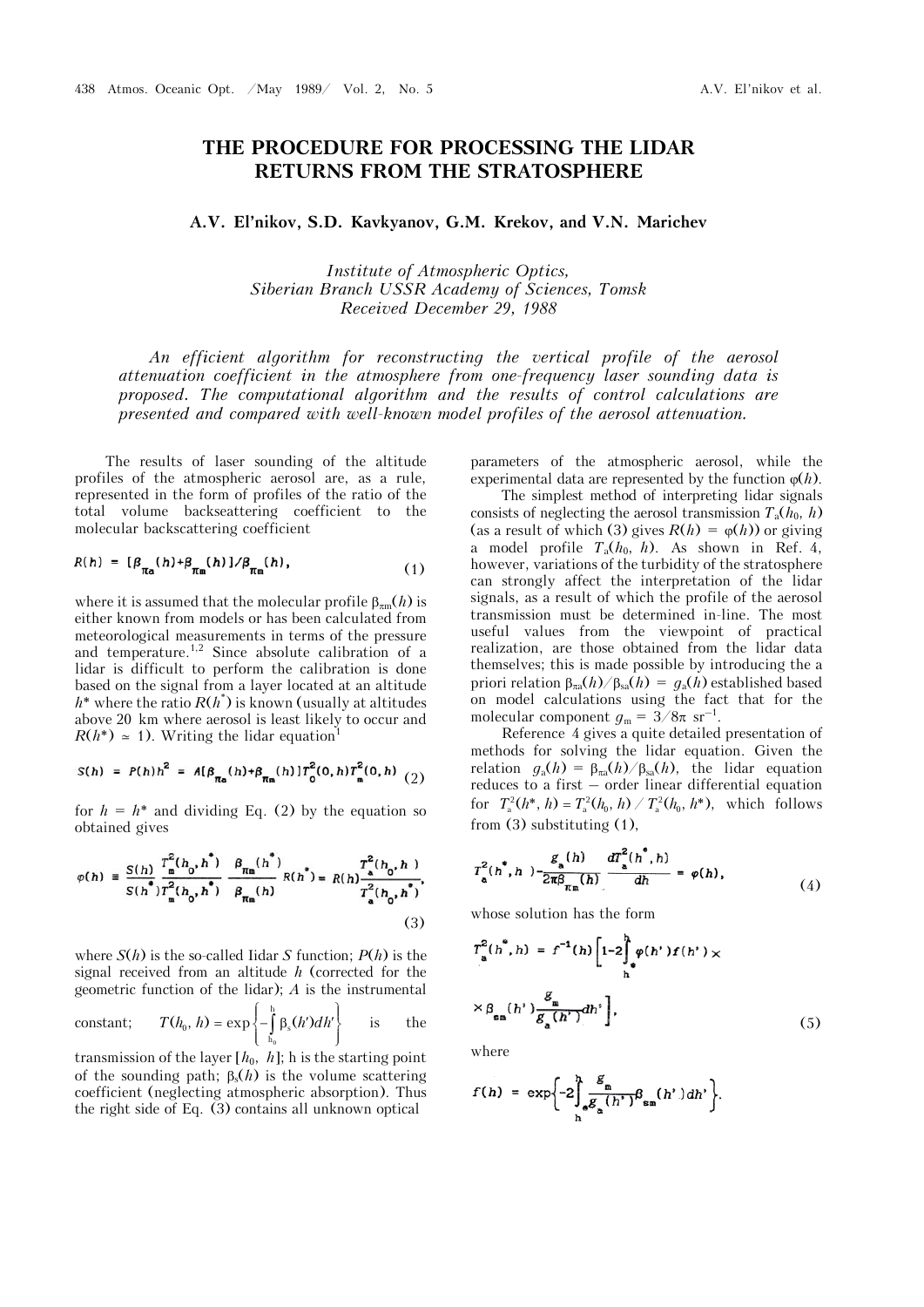## **THE PROCEDURE FOR PROCESSING THE LIDAR RETURNS FROM THE STRATOSPHERE**

**A.V. El'nikov, S.D. Kavkyanov, G.M. Krekov, and V.N. Marichev**

*Institute of Atmospheric Optics, Siberian Branch USSR Academy of Sciences, Tomsk Received December 29, 1988* 

*An efficient algorithm for reconstructing the vertical profile of the aerosol attenuation coefficient in the atmosphere from one-frequency laser sounding data is proposed. The computational algorithm and the results of control calculations are presented and compared with well-known model profiles of the aerosol attenuation.*

The results of laser sounding of the altitude profiles of the atmospheric aerosol are, as a rule, represented in the form of profiles of the ratio of the total volume backseattering coefficient to the molecular backscattering coefficient

$$
R(h) = [\beta_{\pi_a}(h) + \beta_{\pi_m}(h)] / \beta_{\pi_m}(h), \qquad (1)
$$

where it is assumed that the molecular profile  $\beta_{\pi m}(h)$  is either known from models or has been calculated from meteorological measurements in terms of the pressure and temperature.1,2 Since absolute calibration of a lidar is difficult to perform the calibration is done based on the signal from a layer located at an altitude  $h^*$  where the ratio  $R(h^*)$  is known (usually at altitudes above 20 km where aerosol is least likely to occur and  $R(h^*) \approx 1$ ). Writing the lidar equation<sup>1</sup>

$$
S(h) = P(h)h^{2} = A[\beta_{\pi_{a}}(h) + \beta_{\pi_{m}}(h)]T_{0}^{2}(0,h)T_{m}^{2}(0,h)
$$
 (2)

for  $h = h^*$  and dividing Eq. (2) by the equation so obtained gives

$$
\varphi(h) = \frac{S(h)}{S(h^*)} \frac{T_{m}^2(h_0, h^*)}{T_{m}^2(h_0, h^*)} \frac{\beta_{\pi m}(h^*)}{\beta_{\pi m}(h)} R(h^*) = R(h) \frac{T_{a}^2(h_0, h)}{T_{a}^2(h_0, h^*)},
$$
\n(3)

where  $S(h)$  is the so-called Iidar *S* function;  $P(h)$  is the signal received from an altitude *h* (corrected for the geometric function of the lidar); *A* is the instrumental

constant; 
$$
T(h_0, h) = \exp\left\{-\int_{h_0}^h \beta_s(h')dh'\right\}
$$
 is the

transmission of the layer  $[h_0, h]$ ; h is the starting point of the sounding path;  $\beta_s(h)$  is the volume scattering coefficient (neglecting atmospheric absorption). Thus the right side of Eq. (3) contains all unknown optical

parameters of the atmospheric aerosol, while the experimental data are represented by the function  $\varphi(h)$ .

The simplest method of interpreting lidar signals consists of neglecting the aerosol transmission  $T_a(h_0, h)$ (as a result of which (3) gives  $R(h) = \varphi(h)$  or giving a model profile  $T_a(h_0, h)$ . As shown in Ref. 4, however, variations of the turbidity of the stratosphere can strongly affect the interpretation of the lidar signals, as a result of which the profile of the aerosol transmission must be determined in-line. The most useful values from the viewpoint of practical realization, are those obtained from the lidar data themselves; this is made possible by introducing the a priori relation  $\beta_{\pi a}(h)/\beta_{sa}(h) = g_a(h)$  established based on model calculations using the fact that for the molecular component  $g_m = 3/8\pi$  sr<sup>-1</sup>.

Reference 4 gives a quite detailed presentation of methods for solving the lidar equation. Given the relation  $g_a(h) = \beta_{\text{rad}}(h) / \beta_{\text{sa}}(h)$ , the lidar equation reduces to a first – order linear differential equation for  $T_a^2(h^*, h) = T_a^2(h_0, h) / T_a^2(h_0, h^*)$ , which follows from (3) substituting (1),

$$
T_{\mathbf{a}}^{2}(h^{*},h^{-})-\frac{g_{_{\mathbf{a}}}(h)}{2\pi\beta_{\pi_{\mathbf{m}}}(h)}\frac{dT_{_{\mathbf{a}}}^{2}(h^{*},h)}{dh}=\varphi(h), \qquad (4)
$$

whose solution has the form

$$
T_a^2(h^*, h) = f^{-1}(h) \left[ 1-2 \int_h^h \varphi(h^*) f(h^*) \times
$$
  
 
$$
\times \beta_{\text{sm}}(h^*) \frac{g_{\text{m}}}{g_{\text{a}}(h^*)} dh^* \right],
$$
 (5)

where

$$
f(h) = \exp\left\{-2\int_{h}^{h} \frac{g_{m}}{g_{\alpha}(h')}\beta_{\text{sm}}(h')dh'\right\}.
$$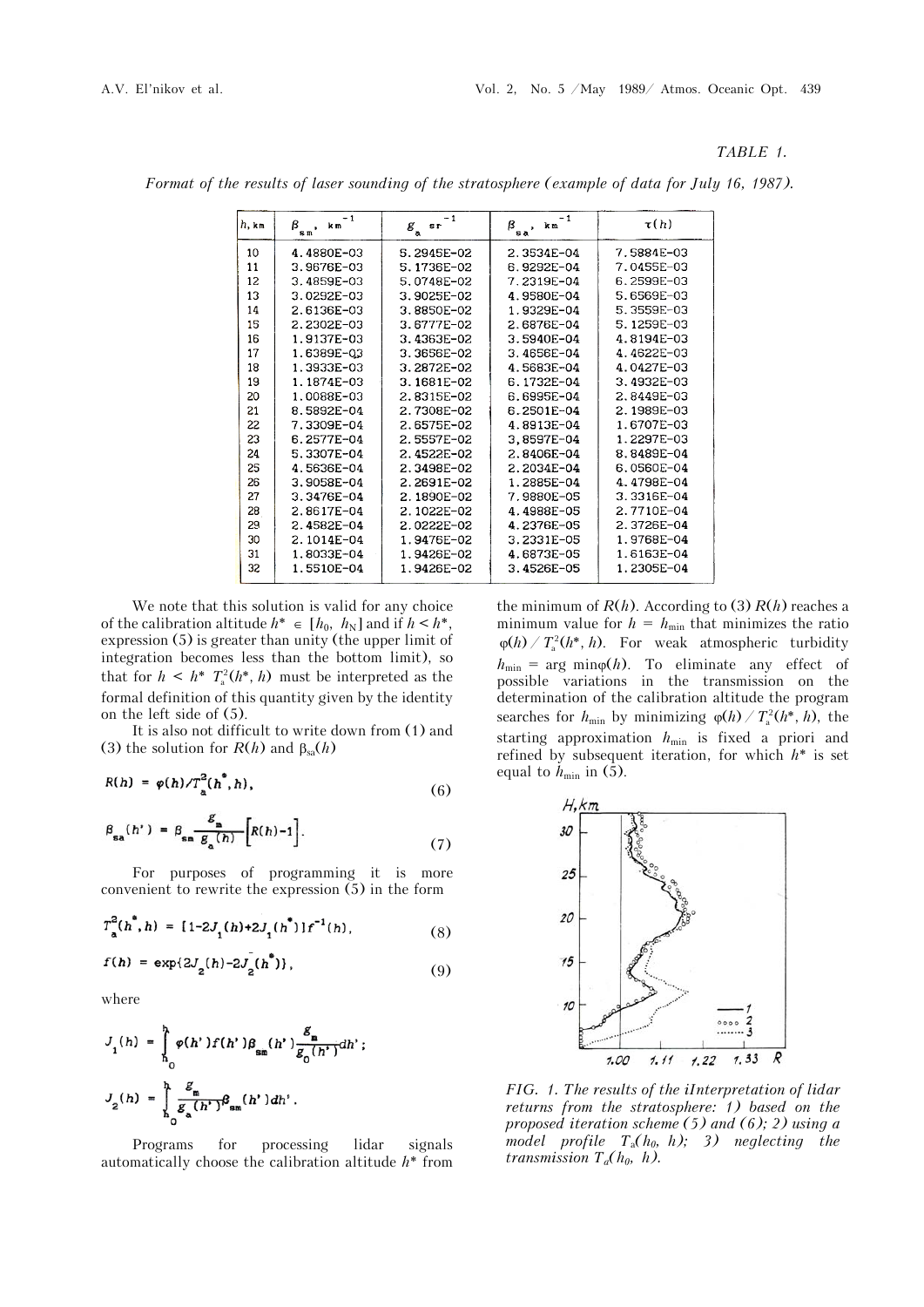## *TABLE 1.*

| $h$ , km | - 1<br>ß<br>k m<br>$\mathbf{s}\,\mathfrak{n}^{\, \prime}$ | -1<br>$s_{\Gamma}$<br>$\mathcal{E}_{_{\mathbf{a}}}$ | $-1$<br>$\beta_{sa}$ , km | $\tau(h)$  |
|----------|-----------------------------------------------------------|-----------------------------------------------------|---------------------------|------------|
| 10       | 4.4880E-03                                                | 5.2945E-02                                          | 2.3534E-04                | 7.5884E-03 |
| 11       | 3.9676E-03                                                | 5.1736E-02                                          | 6.9292E-04                | 7.0455E-03 |
| 12       | 3.4859E-03                                                | 5.0748E-02                                          | 7.2319E-04                | 6.2599E-03 |
| 13       | $3.0292E - 03$                                            | 3.9025E-02                                          | 4.9580E-04                | 5.6569E-03 |
| 14       | 2.6136E-03                                                | 3.8850E-02                                          | 1.9329E-04                | 5.3559E-03 |
| 15       | 2.2302E-03                                                | 3.6777E-02                                          | 2.6876E-04                | 5.1259E-03 |
| 16       | 1.9137E-03                                                | 3.4363E-02                                          | 3.5940E-04                | 4.8194E-03 |
| 17       | 1.6389E-03                                                | 3.3656E-02                                          | 3.4656E-04                | 4.4622E-03 |
| 18       | $1.3933E - 03$                                            | 3.2872E-02                                          | 4.5683E-04                | 4.0427E-03 |
| 19       | 1.1874E-03                                                | 3.1681E-02                                          | 6.1732E-04                | 3.4932E-03 |
| 20       | 1.0088E-03                                                | 2.8315E-02                                          | 6.6995F-04                | 2.8449E-03 |
| 21       | 8.5892E-04                                                | 2.7308E-02                                          | 6.2501E-04                | 2.1989E-03 |
| 22       | 7.3309E-04                                                | 2.6575E-02                                          | 4.8913E-04                | 1.6707E-03 |
| 23       | 6.2577E-04                                                | 2.5557E-02                                          | 3,8597E-04                | 1.2297E-03 |
| 24       | 5.3307E-04                                                | 2.4522E-02                                          | 2.8406E-04                | 8.8489E-04 |
| 25       | 4.5636E-04                                                | 2.3498E-02                                          | 2.2034E-04                | 6.0560E-04 |
| 26       | 3.9058E-04                                                | 2.2691E-02                                          | 1.2885E-04                | 4.4798E-04 |
| 27       | $3.3476E - 04$                                            | 2.1890E-02                                          | 7.9880E-05                | 3.3316E-04 |
| 28       | 2.8617E-04                                                | 2.1022E-02                                          | 4.4988E-05                | 2.7710E-04 |
| 29       | 2.4582E-04                                                | 2.0222E-02                                          | 4.2376E-05                | 2.3726E-04 |
| 30       | 2.1014E-04                                                | 1.9476E-02                                          | 3.2331E-05                | 1.9768E-04 |
| 31       | 1.8033E-04                                                | 1.9426E-02                                          | 4.6873E-05                | 1.6163E-04 |
| 32       | 1.5510E-04                                                | 1.9426E-02                                          | 3.4526E-05                | 1.2305E-04 |
|          |                                                           |                                                     |                           |            |

*Format of the results of laser sounding of the stratosphere (example of data for July 16, 1987).*

We note that this solution is valid for any choice of the calibration altitude  $h^* \in [h_0, h_N]$  and if  $h \leq h^*$ , expression (5) is greater than unity (the upper limit of integration becomes less than the bottom limit), so that for  $h \leq h^* T_a^2(h^*, h)$  must be interpreted as the formal definition of this quantity given by the identity on the left side of (5).

It is also not difficult to write down from (1) and (3) the solution for  $R(h)$  and  $\beta_{sa}(h)$ 

$$
R(h) = \varphi(h)/T_a^2(h^*,h), \qquad (6)
$$

$$
\beta_{\rm sa}(h') = \beta_{\rm sm} \frac{g_{\rm m}}{g_{\rm a}(h)} \left[ R(h) - 1 \right]. \tag{7}
$$

For purposes of programming it is more convenient to rewrite the expression (5) in the form

$$
T_a^2(h^*,h) = [1-2J_1(h)+2J_1(h^*)]f^{-1}(h), \qquad (8)
$$

$$
f(h) = \exp\{2J_2(h) - 2J_2(h^*))\},\tag{9}
$$

where

$$
J_{1}(h) = \int_{h_{0}}^{h} \varphi(h') f(h') \beta_{\sin}(h') \frac{g_{m}}{g_{0}(h')} dh';
$$
  

$$
J_{2}(h) = \int_{h_{0}}^{h} \frac{g_{m}}{g_{a}(h')}\beta_{\sin}(h') dh'.
$$

Programs for processing lidar signals automatically choose the calibration altitude *h*\* from

the minimum of  $R(h)$ . According to (3)  $R(h)$  reaches a minimum value for  $h = h_{\min}$  that minimizes the ratio  $\varphi(h) / T_a^2(h^*, h)$ . For weak atmospheric turbidity  $h_{\min}$  = arg min $\varphi(h)$ . To eliminate any effect of possible variations in the transmission on the determination of the calibration altitude the program searches for  $h_{\min}$  by minimizing  $\varphi(h) / T_a^2(h^*, h)$ , the starting approximation  $h_{\min}$  is fixed a priori and refined by subsequent iteration, for which *h*\* is set equal to  $h_{\min}$  in (5).



*FIG. 1. The results of the iInterpretation of lidar returns from the stratosphere: 1) based on the proposed iteration scheme (5) and (6); 2) using a model profile*  $T_a(h_0, h)$ ; 3) neglecting the *transmission*  $T_a(h_0, h)$ .